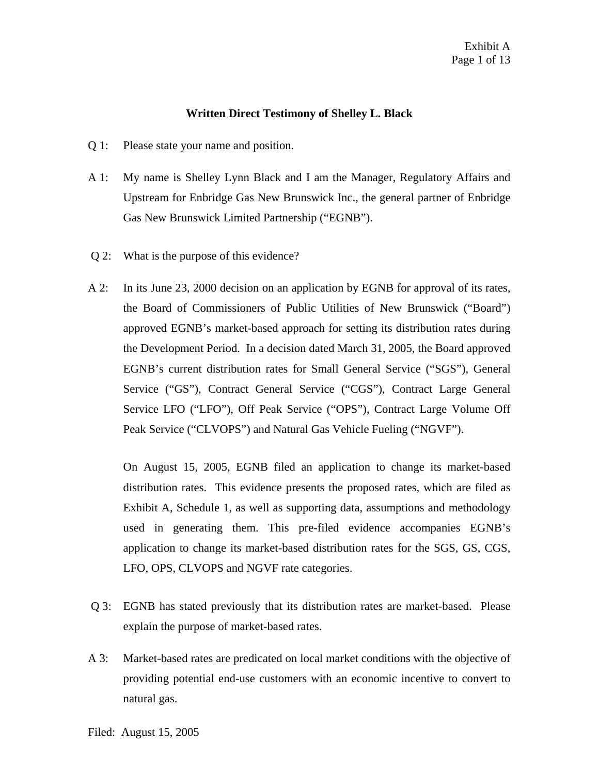## **Written Direct Testimony of Shelley L. Black**

- Q 1: Please state your name and position.
- A 1: My name is Shelley Lynn Black and I am the Manager, Regulatory Affairs and Upstream for Enbridge Gas New Brunswick Inc., the general partner of Enbridge Gas New Brunswick Limited Partnership ("EGNB").
- Q 2: What is the purpose of this evidence?
- A 2: In its June 23, 2000 decision on an application by EGNB for approval of its rates, the Board of Commissioners of Public Utilities of New Brunswick ("Board") approved EGNB's market-based approach for setting its distribution rates during the Development Period. In a decision dated March 31, 2005, the Board approved EGNB's current distribution rates for Small General Service ("SGS"), General Service ("GS"), Contract General Service ("CGS"), Contract Large General Service LFO ("LFO"), Off Peak Service ("OPS"), Contract Large Volume Off Peak Service ("CLVOPS") and Natural Gas Vehicle Fueling ("NGVF").

On August 15, 2005, EGNB filed an application to change its market-based distribution rates. This evidence presents the proposed rates, which are filed as Exhibit A, Schedule 1, as well as supporting data, assumptions and methodology used in generating them. This pre-filed evidence accompanies EGNB's application to change its market-based distribution rates for the SGS, GS, CGS, LFO, OPS, CLVOPS and NGVF rate categories.

- Q 3: EGNB has stated previously that its distribution rates are market-based. Please explain the purpose of market-based rates.
- A 3: Market-based rates are predicated on local market conditions with the objective of providing potential end-use customers with an economic incentive to convert to natural gas.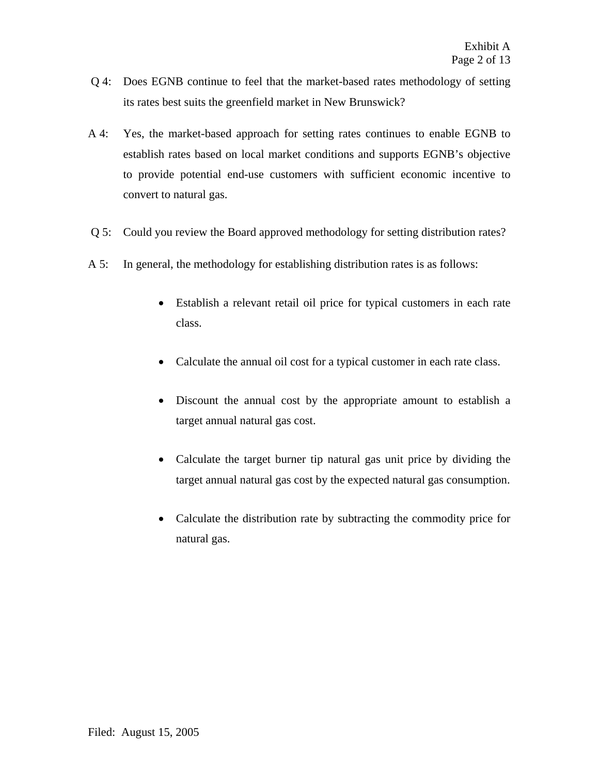- Q 4: Does EGNB continue to feel that the market-based rates methodology of setting its rates best suits the greenfield market in New Brunswick?
- A 4: Yes, the market-based approach for setting rates continues to enable EGNB to establish rates based on local market conditions and supports EGNB's objective to provide potential end-use customers with sufficient economic incentive to convert to natural gas.
- Q 5: Could you review the Board approved methodology for setting distribution rates?
- A 5: In general, the methodology for establishing distribution rates is as follows:
	- Establish a relevant retail oil price for typical customers in each rate class.
	- Calculate the annual oil cost for a typical customer in each rate class.
	- Discount the annual cost by the appropriate amount to establish a target annual natural gas cost.
	- Calculate the target burner tip natural gas unit price by dividing the target annual natural gas cost by the expected natural gas consumption.
	- Calculate the distribution rate by subtracting the commodity price for natural gas.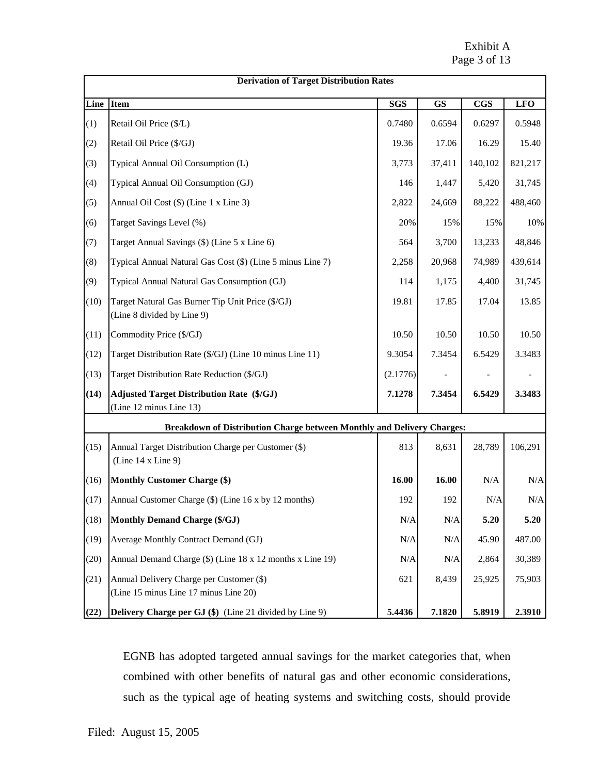Exhibit A Page 3 of 13

| <b>Derivation of Target Distribution Rates</b> |                                                                                   |            |           |              |            |
|------------------------------------------------|-----------------------------------------------------------------------------------|------------|-----------|--------------|------------|
| Line                                           | <b>Item</b>                                                                       | <b>SGS</b> | <b>GS</b> | $_{\rm CGS}$ | <b>LFO</b> |
| (1)                                            | Retail Oil Price (\$/L)                                                           | 0.7480     | 0.6594    | 0.6297       | 0.5948     |
| (2)                                            | Retail Oil Price (\$/GJ)                                                          | 19.36      | 17.06     | 16.29        | 15.40      |
| (3)                                            | Typical Annual Oil Consumption (L)                                                | 3,773      | 37,411    | 140,102      | 821,217    |
| (4)                                            | Typical Annual Oil Consumption (GJ)                                               | 146        | 1,447     | 5,420        | 31,745     |
| (5)                                            | Annual Oil Cost (\$) (Line 1 x Line 3)                                            | 2,822      | 24,669    | 88,222       | 488,460    |
| (6)                                            | Target Savings Level (%)                                                          | 20%        | 15%       | 15%          | 10%        |
| (7)                                            | Target Annual Savings (\$) (Line 5 x Line 6)                                      | 564        | 3,700     | 13,233       | 48,846     |
| (8)                                            | Typical Annual Natural Gas Cost (\$) (Line 5 minus Line 7)                        | 2,258      | 20,968    | 74,989       | 439,614    |
| (9)                                            | Typical Annual Natural Gas Consumption (GJ)                                       | 114        | 1,175     | 4,400        | 31,745     |
| (10)                                           | Target Natural Gas Burner Tip Unit Price (\$/GJ)<br>(Line 8 divided by Line 9)    | 19.81      | 17.85     | 17.04        | 13.85      |
| (11)                                           | Commodity Price (\$/GJ)                                                           | 10.50      | 10.50     | 10.50        | 10.50      |
| (12)                                           | Target Distribution Rate (\$/GJ) (Line 10 minus Line 11)                          | 9.3054     | 7.3454    | 6.5429       | 3.3483     |
| (13)                                           | Target Distribution Rate Reduction (\$/GJ)                                        | (2.1776)   |           |              |            |
| (14)                                           | <b>Adjusted Target Distribution Rate (\$/GJ)</b><br>(Line 12 minus Line 13)       | 7.1278     | 7.3454    | 6.5429       | 3.3483     |
|                                                | Breakdown of Distribution Charge between Monthly and Delivery Charges:            |            |           |              |            |
| (15)                                           | Annual Target Distribution Charge per Customer (\$)<br>(Line 14 x Line 9)         | 813        | 8,631     | 28,789       | 106,291    |
| (16)                                           | <b>Monthly Customer Charge (\$)</b>                                               | 16.00      | 16.00     | N/A          | $\rm N/A$  |
| (17)                                           | Annual Customer Charge (\$) (Line 16 x by 12 months)                              | 192        | 192       | N/A          | N/A        |
| (18)                                           | <b>Monthly Demand Charge (\$/GJ)</b>                                              | N/A        | $\rm N/A$ | 5.20         | 5.20       |
| (19)                                           | Average Monthly Contract Demand (GJ)                                              | N/A        | N/A       | 45.90        | 487.00     |
| (20)                                           | Annual Demand Charge (\$) (Line 18 x 12 months x Line 19)                         | N/A        | N/A       | 2,864        | 30,389     |
| (21)                                           | Annual Delivery Charge per Customer (\$)<br>(Line 15 minus Line 17 minus Line 20) | 621        | 8,439     | 25,925       | 75,903     |
| (22)                                           | Delivery Charge per GJ (\$) (Line 21 divided by Line 9)                           | 5.4436     | 7.1820    | 5.8919       | 2.3910     |

EGNB has adopted targeted annual savings for the market categories that, when combined with other benefits of natural gas and other economic considerations, such as the typical age of heating systems and switching costs, should provide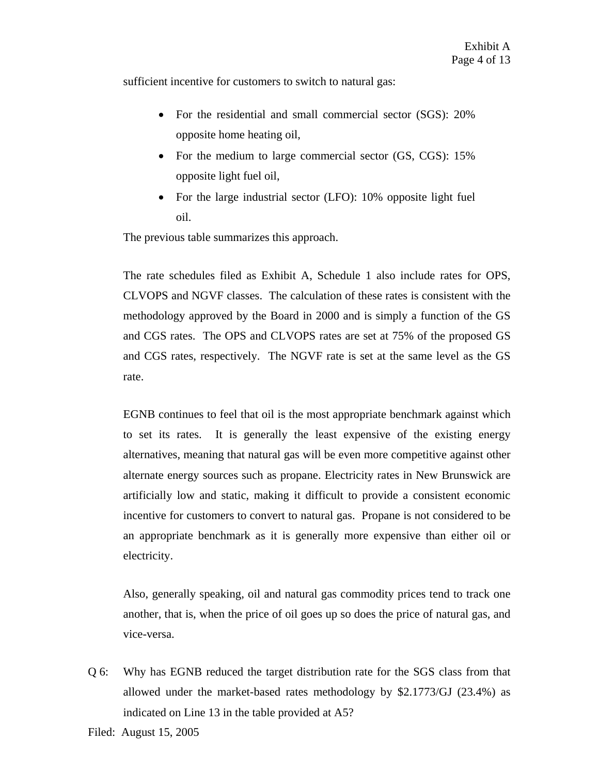sufficient incentive for customers to switch to natural gas:

- For the residential and small commercial sector (SGS): 20% opposite home heating oil,
- For the medium to large commercial sector (GS, CGS): 15% opposite light fuel oil,
- For the large industrial sector (LFO): 10% opposite light fuel oil.

The previous table summarizes this approach.

The rate schedules filed as Exhibit A, Schedule 1 also include rates for OPS, CLVOPS and NGVF classes. The calculation of these rates is consistent with the methodology approved by the Board in 2000 and is simply a function of the GS and CGS rates. The OPS and CLVOPS rates are set at 75% of the proposed GS and CGS rates, respectively. The NGVF rate is set at the same level as the GS rate.

EGNB continues to feel that oil is the most appropriate benchmark against which to set its rates. It is generally the least expensive of the existing energy alternatives, meaning that natural gas will be even more competitive against other alternate energy sources such as propane. Electricity rates in New Brunswick are artificially low and static, making it difficult to provide a consistent economic incentive for customers to convert to natural gas. Propane is not considered to be an appropriate benchmark as it is generally more expensive than either oil or electricity.

Also, generally speaking, oil and natural gas commodity prices tend to track one another, that is, when the price of oil goes up so does the price of natural gas, and vice-versa.

Q 6: Why has EGNB reduced the target distribution rate for the SGS class from that allowed under the market-based rates methodology by \$2.1773/GJ (23.4%) as indicated on Line 13 in the table provided at A5?

Filed: August 15, 2005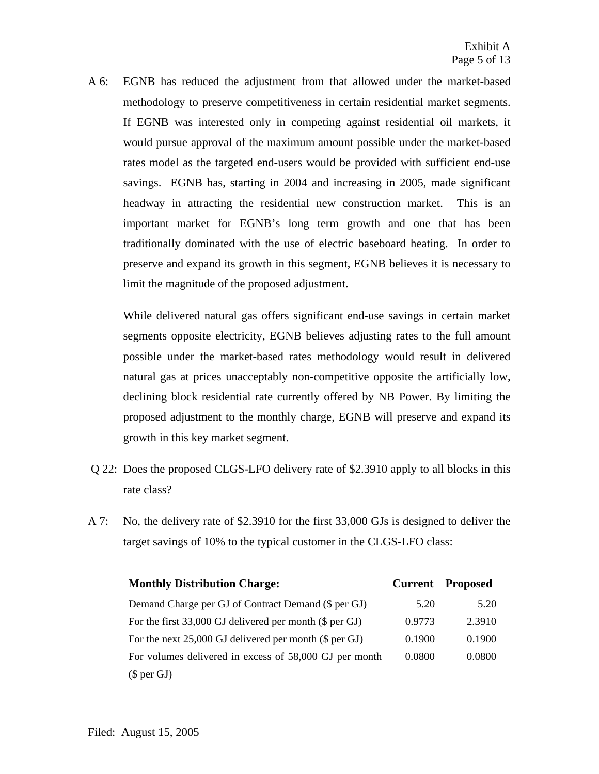A 6: EGNB has reduced the adjustment from that allowed under the market-based methodology to preserve competitiveness in certain residential market segments. If EGNB was interested only in competing against residential oil markets, it would pursue approval of the maximum amount possible under the market-based rates model as the targeted end-users would be provided with sufficient end-use savings. EGNB has, starting in 2004 and increasing in 2005, made significant headway in attracting the residential new construction market. This is an important market for EGNB's long term growth and one that has been traditionally dominated with the use of electric baseboard heating. In order to preserve and expand its growth in this segment, EGNB believes it is necessary to limit the magnitude of the proposed adjustment.

While delivered natural gas offers significant end-use savings in certain market segments opposite electricity, EGNB believes adjusting rates to the full amount possible under the market-based rates methodology would result in delivered natural gas at prices unacceptably non-competitive opposite the artificially low, declining block residential rate currently offered by NB Power. By limiting the proposed adjustment to the monthly charge, EGNB will preserve and expand its growth in this key market segment.

- Q 22: Does the proposed CLGS-LFO delivery rate of \$2.3910 apply to all blocks in this rate class?
- A 7: No, the delivery rate of \$2.3910 for the first 33,000 GJs is designed to deliver the target savings of 10% to the typical customer in the CLGS-LFO class:

| <b>Monthly Distribution Charge:</b>                       |        | <b>Current Proposed</b> |
|-----------------------------------------------------------|--------|-------------------------|
| Demand Charge per GJ of Contract Demand (\$ per GJ)       | 5.20   | 5.20                    |
| For the first $33,000$ GJ delivered per month (\$ per GJ) | 0.9773 | 2.3910                  |
| For the next 25,000 GJ delivered per month (\$ per GJ)    | 0.1900 | 0.1900                  |
| For volumes delivered in excess of 58,000 GJ per month    | 0.0800 | 0.0800                  |
| $(\$$ per $GI)$                                           |        |                         |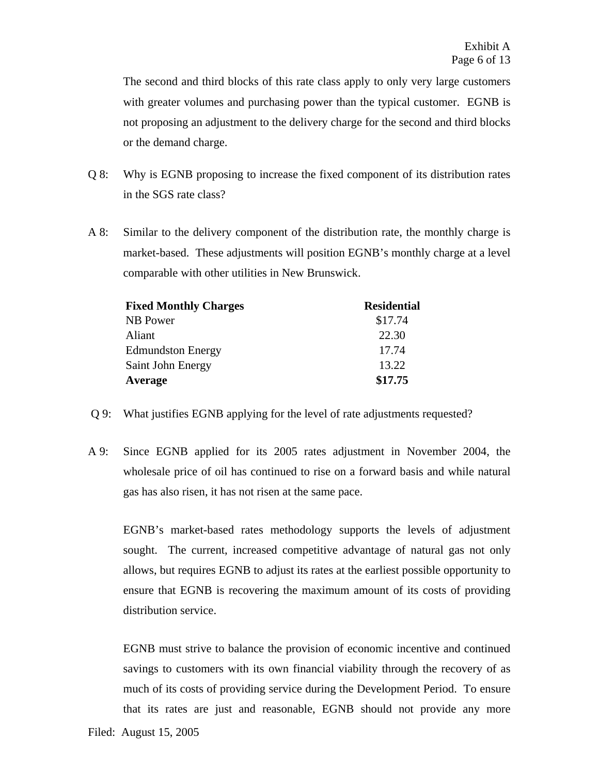The second and third blocks of this rate class apply to only very large customers with greater volumes and purchasing power than the typical customer. EGNB is not proposing an adjustment to the delivery charge for the second and third blocks or the demand charge.

- Q 8: Why is EGNB proposing to increase the fixed component of its distribution rates in the SGS rate class?
- A 8: Similar to the delivery component of the distribution rate, the monthly charge is market-based. These adjustments will position EGNB's monthly charge at a level comparable with other utilities in New Brunswick.

| <b>Fixed Monthly Charges</b> | <b>Residential</b> |
|------------------------------|--------------------|
| NB Power                     | \$17.74            |
| Aliant                       | 22.30              |
| <b>Edmundston Energy</b>     | 17.74              |
| Saint John Energy            | 13.22              |
| Average                      | \$17.75            |

- Q 9: What justifies EGNB applying for the level of rate adjustments requested?
- A 9: Since EGNB applied for its 2005 rates adjustment in November 2004, the wholesale price of oil has continued to rise on a forward basis and while natural gas has also risen, it has not risen at the same pace.

EGNB's market-based rates methodology supports the levels of adjustment sought. The current, increased competitive advantage of natural gas not only allows, but requires EGNB to adjust its rates at the earliest possible opportunity to ensure that EGNB is recovering the maximum amount of its costs of providing distribution service.

EGNB must strive to balance the provision of economic incentive and continued savings to customers with its own financial viability through the recovery of as much of its costs of providing service during the Development Period. To ensure that its rates are just and reasonable, EGNB should not provide any more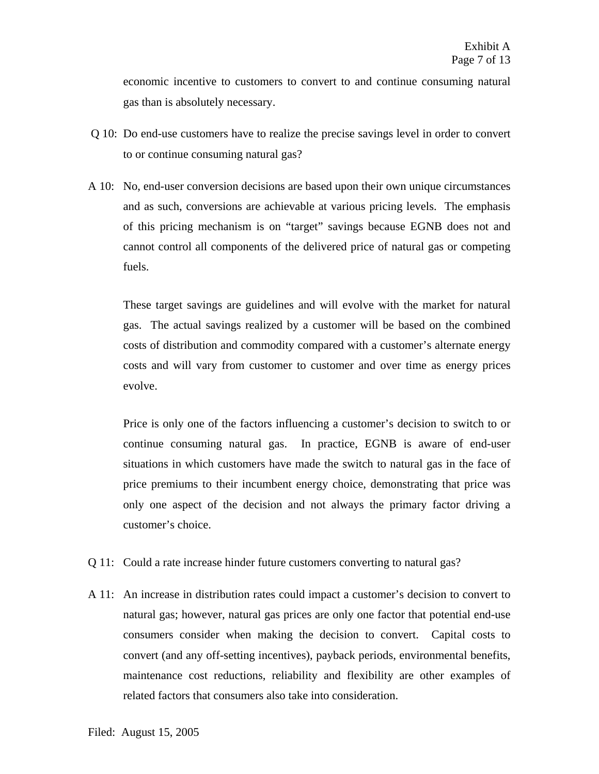economic incentive to customers to convert to and continue consuming natural gas than is absolutely necessary.

- Q 10: Do end-use customers have to realize the precise savings level in order to convert to or continue consuming natural gas?
- A 10: No, end-user conversion decisions are based upon their own unique circumstances and as such, conversions are achievable at various pricing levels. The emphasis of this pricing mechanism is on "target" savings because EGNB does not and cannot control all components of the delivered price of natural gas or competing fuels.

These target savings are guidelines and will evolve with the market for natural gas. The actual savings realized by a customer will be based on the combined costs of distribution and commodity compared with a customer's alternate energy costs and will vary from customer to customer and over time as energy prices evolve.

Price is only one of the factors influencing a customer's decision to switch to or continue consuming natural gas. In practice, EGNB is aware of end-user situations in which customers have made the switch to natural gas in the face of price premiums to their incumbent energy choice, demonstrating that price was only one aspect of the decision and not always the primary factor driving a customer's choice.

- Q 11: Could a rate increase hinder future customers converting to natural gas?
- A 11: An increase in distribution rates could impact a customer's decision to convert to natural gas; however, natural gas prices are only one factor that potential end-use consumers consider when making the decision to convert. Capital costs to convert (and any off-setting incentives), payback periods, environmental benefits, maintenance cost reductions, reliability and flexibility are other examples of related factors that consumers also take into consideration.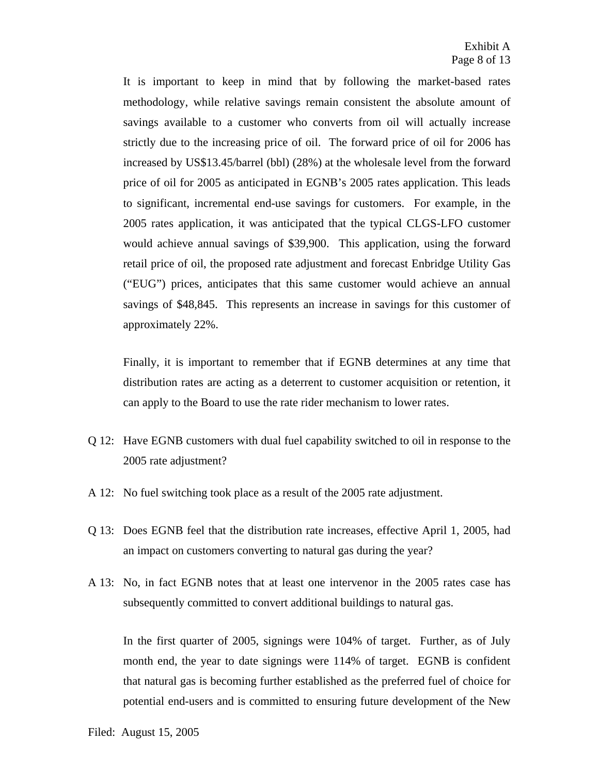It is important to keep in mind that by following the market-based rates methodology, while relative savings remain consistent the absolute amount of savings available to a customer who converts from oil will actually increase strictly due to the increasing price of oil. The forward price of oil for 2006 has increased by US\$13.45/barrel (bbl) (28%) at the wholesale level from the forward price of oil for 2005 as anticipated in EGNB's 2005 rates application. This leads to significant, incremental end-use savings for customers. For example, in the 2005 rates application, it was anticipated that the typical CLGS-LFO customer would achieve annual savings of \$39,900. This application, using the forward retail price of oil, the proposed rate adjustment and forecast Enbridge Utility Gas ("EUG") prices, anticipates that this same customer would achieve an annual savings of \$48,845. This represents an increase in savings for this customer of approximately 22%.

Finally, it is important to remember that if EGNB determines at any time that distribution rates are acting as a deterrent to customer acquisition or retention, it can apply to the Board to use the rate rider mechanism to lower rates.

- Q 12: Have EGNB customers with dual fuel capability switched to oil in response to the 2005 rate adjustment?
- A 12: No fuel switching took place as a result of the 2005 rate adjustment.
- Q 13: Does EGNB feel that the distribution rate increases, effective April 1, 2005, had an impact on customers converting to natural gas during the year?
- A 13: No, in fact EGNB notes that at least one intervenor in the 2005 rates case has subsequently committed to convert additional buildings to natural gas.

In the first quarter of 2005, signings were 104% of target. Further, as of July month end, the year to date signings were 114% of target. EGNB is confident that natural gas is becoming further established as the preferred fuel of choice for potential end-users and is committed to ensuring future development of the New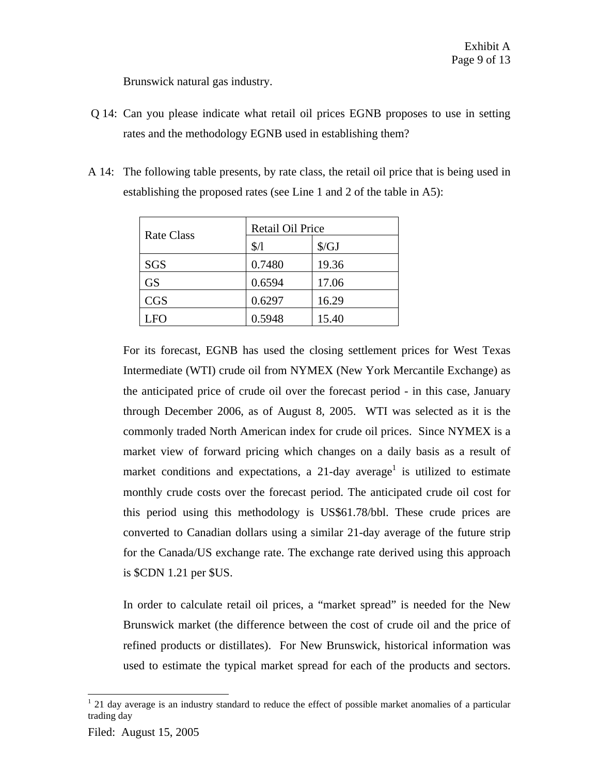Brunswick natural gas industry.

- Q 14: Can you please indicate what retail oil prices EGNB proposes to use in setting rates and the methodology EGNB used in establishing them?
- A 14: The following table presents, by rate class, the retail oil price that is being used in establishing the proposed rates (see Line 1 and 2 of the table in A5):

| Rate Class | Retail Oil Price |              |  |
|------------|------------------|--------------|--|
|            | $\frac{1}{2}$    | $\sqrt{$GJ}$ |  |
| <b>SGS</b> | 0.7480           | 19.36        |  |
| <b>GS</b>  | 0.6594           | 17.06        |  |
| <b>CGS</b> | 0.6297           | 16.29        |  |
| LFO        | 0.5948           | 15.40        |  |

For its forecast, EGNB has used the closing settlement prices for West Texas Intermediate (WTI) crude oil from NYMEX (New York Mercantile Exchange) as the anticipated price of crude oil over the forecast period - in this case, January through December 2006, as of August 8, 2005. WTI was selected as it is the commonly traded North American index for crude oil prices. Since NYMEX is a market view of forward pricing which changes on a daily basis as a result of market conditions and expectations, a 21-day average<sup>1</sup> is utilized to estimate monthly crude costs over the forecast period. The anticipated crude oil cost for this period using this methodology is US\$61.78/bbl. These crude prices are converted to Canadian dollars using a similar 21-day average of the future strip for the Canada/US exchange rate. The exchange rate derived using this approach is \$CDN 1.21 per \$US.

In order to calculate retail oil prices, a "market spread" is needed for the New Brunswick market (the difference between the cost of crude oil and the price of refined products or distillates). For New Brunswick, historical information was used to estimate the typical market spread for each of the products and sectors.

 $\overline{a}$ 

 $1$  21 day average is an industry standard to reduce the effect of possible market anomalies of a particular trading day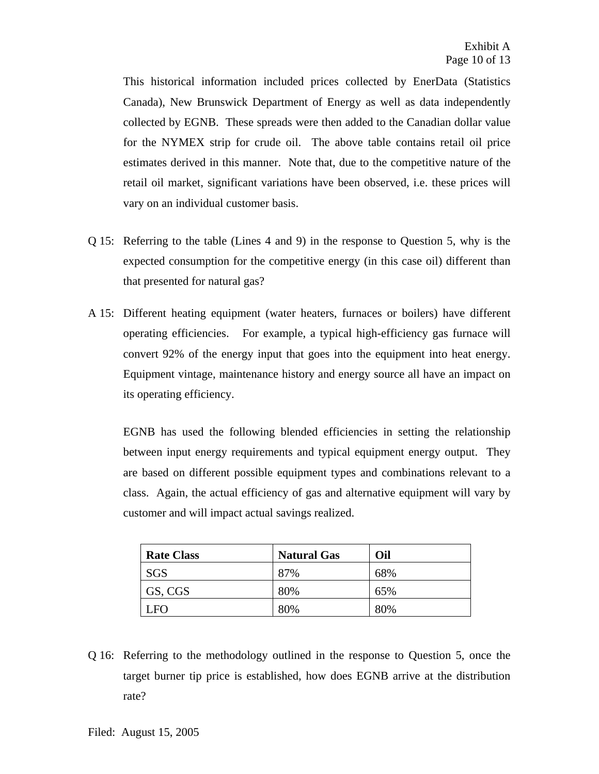This historical information included prices collected by EnerData (Statistics Canada), New Brunswick Department of Energy as well as data independently collected by EGNB. These spreads were then added to the Canadian dollar value for the NYMEX strip for crude oil. The above table contains retail oil price estimates derived in this manner. Note that, due to the competitive nature of the retail oil market, significant variations have been observed, i.e. these prices will vary on an individual customer basis.

- Q 15: Referring to the table (Lines 4 and 9) in the response to Question 5, why is the expected consumption for the competitive energy (in this case oil) different than that presented for natural gas?
- A 15: Different heating equipment (water heaters, furnaces or boilers) have different operating efficiencies. For example, a typical high-efficiency gas furnace will convert 92% of the energy input that goes into the equipment into heat energy. Equipment vintage, maintenance history and energy source all have an impact on its operating efficiency.

EGNB has used the following blended efficiencies in setting the relationship between input energy requirements and typical equipment energy output. They are based on different possible equipment types and combinations relevant to a class. Again, the actual efficiency of gas and alternative equipment will vary by customer and will impact actual savings realized.

| <b>Rate Class</b> | <b>Natural Gas</b> | Oil |
|-------------------|--------------------|-----|
| SGS               | 87%                | 68% |
| GS, CGS           | 80%                | 65% |
| ' FO              | 80%                | 80% |

Q 16: Referring to the methodology outlined in the response to Question 5, once the target burner tip price is established, how does EGNB arrive at the distribution rate?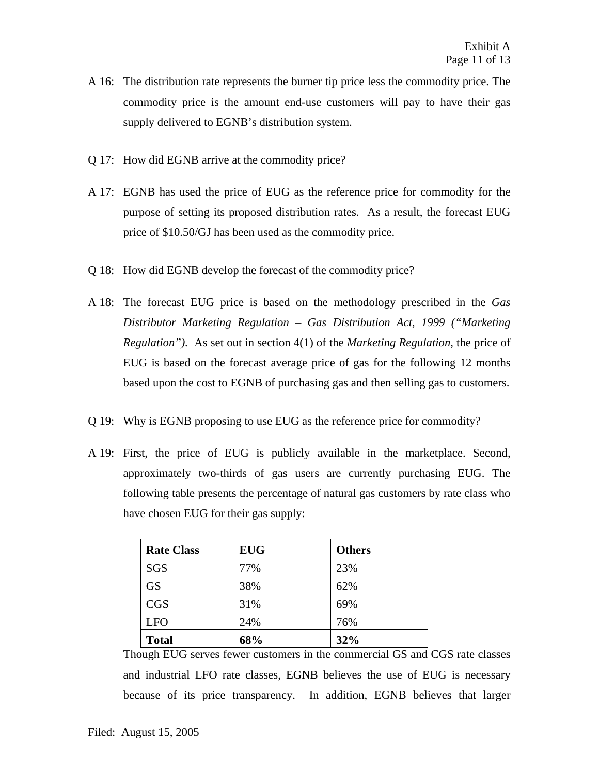- A 16: The distribution rate represents the burner tip price less the commodity price. The commodity price is the amount end-use customers will pay to have their gas supply delivered to EGNB's distribution system.
- Q 17: How did EGNB arrive at the commodity price?
- A 17: EGNB has used the price of EUG as the reference price for commodity for the purpose of setting its proposed distribution rates. As a result, the forecast EUG price of \$10.50/GJ has been used as the commodity price.
- Q 18: How did EGNB develop the forecast of the commodity price?
- A 18: The forecast EUG price is based on the methodology prescribed in the *Gas Distributor Marketing Regulation – Gas Distribution Act*, *1999 ("Marketing Regulation").* As set out in section 4(1) of the *Marketing Regulation,* the price of EUG is based on the forecast average price of gas for the following 12 months based upon the cost to EGNB of purchasing gas and then selling gas to customers.
- Q 19: Why is EGNB proposing to use EUG as the reference price for commodity?
- A 19: First, the price of EUG is publicly available in the marketplace. Second, approximately two-thirds of gas users are currently purchasing EUG. The following table presents the percentage of natural gas customers by rate class who have chosen EUG for their gas supply:

| <b>Rate Class</b> | <b>EUG</b> | <b>Others</b> |
|-------------------|------------|---------------|
| SGS               | 77%        | 23%           |
| <b>GS</b>         | 38%        | 62%           |
| <b>CGS</b>        | 31%        | 69%           |
| <b>LFO</b>        | 24%        | 76%           |
| <b>Total</b>      | 68%        | 32%           |

Though EUG serves fewer customers in the commercial GS and CGS rate classes and industrial LFO rate classes, EGNB believes the use of EUG is necessary because of its price transparency. In addition, EGNB believes that larger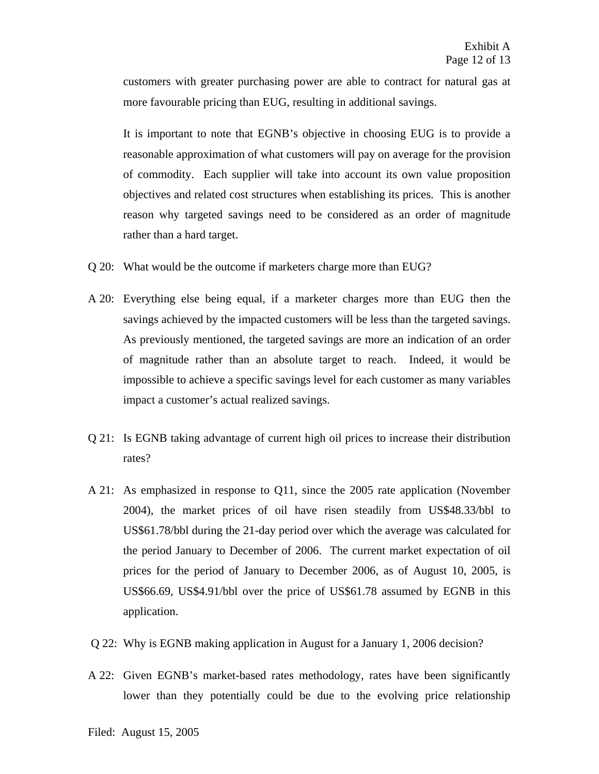customers with greater purchasing power are able to contract for natural gas at more favourable pricing than EUG, resulting in additional savings.

It is important to note that EGNB's objective in choosing EUG is to provide a reasonable approximation of what customers will pay on average for the provision of commodity. Each supplier will take into account its own value proposition objectives and related cost structures when establishing its prices. This is another reason why targeted savings need to be considered as an order of magnitude rather than a hard target.

- Q 20: What would be the outcome if marketers charge more than EUG?
- A 20: Everything else being equal, if a marketer charges more than EUG then the savings achieved by the impacted customers will be less than the targeted savings. As previously mentioned, the targeted savings are more an indication of an order of magnitude rather than an absolute target to reach. Indeed, it would be impossible to achieve a specific savings level for each customer as many variables impact a customer's actual realized savings.
- Q 21: Is EGNB taking advantage of current high oil prices to increase their distribution rates?
- A 21: As emphasized in response to Q11, since the 2005 rate application (November 2004), the market prices of oil have risen steadily from US\$48.33/bbl to US\$61.78/bbl during the 21-day period over which the average was calculated for the period January to December of 2006. The current market expectation of oil prices for the period of January to December 2006, as of August 10, 2005, is US\$66.69, US\$4.91/bbl over the price of US\$61.78 assumed by EGNB in this application.
- Q 22: Why is EGNB making application in August for a January 1, 2006 decision?
- A 22: Given EGNB's market-based rates methodology, rates have been significantly lower than they potentially could be due to the evolving price relationship

Filed: August 15, 2005